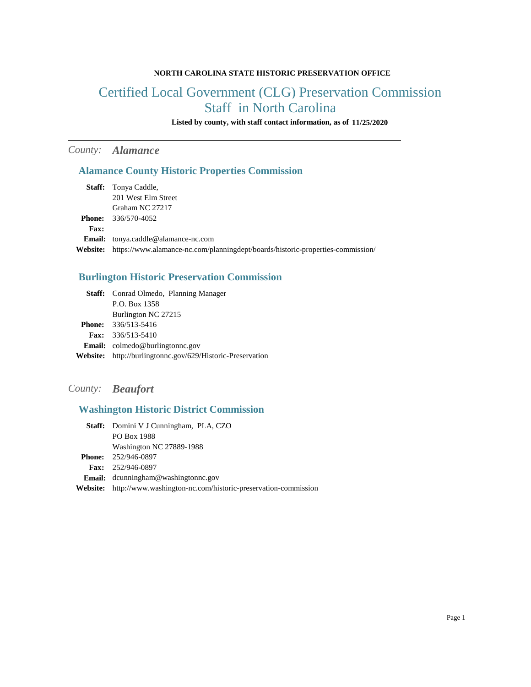#### **NORTH CAROLINA STATE HISTORIC PRESERVATION OFFICE**

# Certified Local Government (CLG) Preservation Commission Staff in North Carolina

**Listed by county, with staff contact information, as of 11/25/2020**

# *County: Alamance*

### **Alamance County Historic Properties Commission**

|             | <b>Staff:</b> Tonya Caddle,                                                              |
|-------------|------------------------------------------------------------------------------------------|
|             | 201 West Elm Street                                                                      |
|             | Graham NC 27217                                                                          |
|             | <b>Phone:</b> $336/570-4052$                                                             |
| <b>Fax:</b> |                                                                                          |
|             | <b>Email:</b> tonya.caddle@alamance-nc.com                                               |
|             | Website: https://www.alamance-nc.com/planningdept/boards/historic-properties-commission/ |

# **Burlington Historic Preservation Commission**

| <b>Staff:</b> Conrad Olmedo, Planning Manager                     |
|-------------------------------------------------------------------|
| P.O. Box 1358                                                     |
| Burlington NC 27215                                               |
| <b>Phone:</b> $336/513-5416$                                      |
| <b>Fax:</b> $336/513-5410$                                        |
| <b>Email:</b> colmedo@burlingtonnc.gov                            |
| <b>Website:</b> http://burlingtonnc.gov/629/Historic-Preservation |

#### *County: Beaufort*

# **Washington Historic District Commission**

| Staff: Domini V J Cunningham, PLA, CZO                                        |
|-------------------------------------------------------------------------------|
| <b>PO Box 1988</b>                                                            |
| Washington NC 27889-1988                                                      |
| <b>Phone:</b> 252/946-0897                                                    |
| <b>Fax:</b> $252/946-0897$                                                    |
| <b>Email:</b> $d$ cunningham@washingtonnc.gov                                 |
| <b>Website:</b> http://www.washington-nc.com/historic-preservation-commission |
|                                                                               |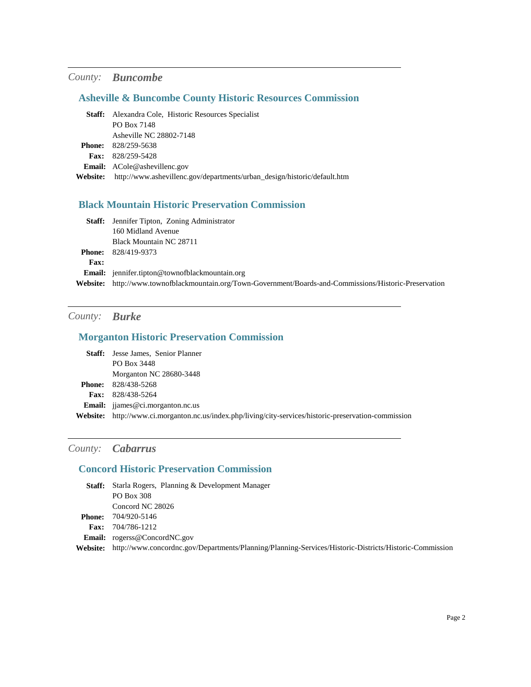# *County: Buncombe*

# **Asheville & Buncombe County Historic Resources Commission**

|                 | <b>Staff:</b> Alexandra Cole, Historic Resources Specialist              |
|-----------------|--------------------------------------------------------------------------|
|                 | PO Box 7148                                                              |
|                 | Asheville NC 28802-7148                                                  |
| <b>Phone:</b>   | 828/259-5638                                                             |
|                 | <b>Fax:</b> $828/259-5428$                                               |
|                 | <b>Email:</b> ACole@ashevillenc.gov                                      |
| <b>Website:</b> | http://www.ashevillenc.gov/departments/urban_design/historic/default.htm |

### **Black Mountain Historic Preservation Commission**

|             | <b>Staff:</b> Jennifer Tipton, Zoning Administrator                                                      |
|-------------|----------------------------------------------------------------------------------------------------------|
|             | 160 Midland Avenue                                                                                       |
|             | Black Mountain NC 28711                                                                                  |
|             | <b>Phone:</b> 828/419-9373                                                                               |
| <b>Fax:</b> |                                                                                                          |
|             | <b>Email:</b> jennifer.tipton@townofblackmountain.org                                                    |
|             | Website: http://www.townofblackmountain.org/Town-Government/Boards-and-Commissions/Historic-Preservation |

# *County: Burke*

#### **Morganton Historic Preservation Commission**

| <b>Staff:</b> Jesse James, Senior Planner                                                              |
|--------------------------------------------------------------------------------------------------------|
| PO Box 3448                                                                                            |
| Morganton NC 28680-3448                                                                                |
| <b>Phone:</b> 828/438-5268                                                                             |
| <b>Fax:</b> $828/438-5264$                                                                             |
| <b>Email:</b> ijames@ci.morganton.nc.us                                                                |
| Website: http://www.ci.morganton.nc.us/index.php/living/city-services/historic-preservation-commission |

# *County: Cabarrus*

#### **Concord Historic Preservation Commission**

| <b>Staff:</b> | Starla Rogers, Planning & Development Manager                                                          |
|---------------|--------------------------------------------------------------------------------------------------------|
|               | PO Box 308                                                                                             |
|               | Concord NC 28026                                                                                       |
| <b>Phone:</b> | 704/920-5146                                                                                           |
| <b>Fax:</b>   | 704/786-1212                                                                                           |
|               | <b>Email:</b> rogerss@ConcordNC.gov                                                                    |
| Website:      | http://www.concordnc.gov/Departments/Planning/Planning-Services/Historic-Districts/Historic-Commission |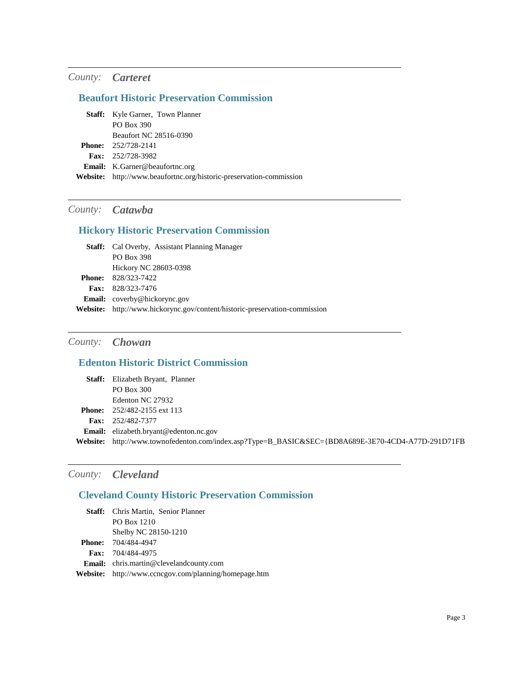### *County: Carteret*

# **Beaufort Historic Preservation Commission**

| <b>Staff:</b> Kyle Garner, Town Planner                             |
|---------------------------------------------------------------------|
| PO Box 390                                                          |
| Beaufort NC 28516-0390                                              |
| <b>Phone:</b> $252/728-2141$                                        |
| <b>Fax:</b> $252/728-3982$                                          |
| <b>Email:</b> K.Garner@beaufortnc.org                               |
| Website: http://www.beaufortnc.org/historic-preservation-commission |

### *County: Catawba*

### **Hickory Historic Preservation Commission**

| <b>Staff:</b> Cal Overby, Assistant Planning Manager                       |
|----------------------------------------------------------------------------|
| PO Box 398                                                                 |
| Hickory NC 28603-0398                                                      |
| <b>Phone:</b> 828/323-7422                                                 |
| <b>Fax:</b> $828/323 - 7476$                                               |
| <b>Email:</b> coverby@hickorync.gov                                        |
| Website: http://www.hickorync.gov/content/historic-preservation-commission |

### *County: Chowan*

# **Edenton Historic District Commission**

| <b>Staff:</b> Elizabeth Bryant, Planner                                                            |
|----------------------------------------------------------------------------------------------------|
| PO Box 300                                                                                         |
| Edenton NC 27932                                                                                   |
| <b>Phone:</b> $252/482-2155$ ext 113                                                               |
| <b>Fax:</b> $252/482-7377$                                                                         |
| <b>Email:</b> elizabeth.bryant@edenton.nc.gov                                                      |
| Website: http://www.townofedenton.com/index.asp?Type=B_BASIC&SEC={BD8A689E-3E70-4CD4-A77D-291D71FB |
|                                                                                                    |

# *County: Cleveland*

### **Cleveland County Historic Preservation Commission**

| <b>Staff:</b> Chris Martin, Senior Planner            |
|-------------------------------------------------------|
| PO Box 1210                                           |
| Shelby NC 28150-1210                                  |
| <b>Phone:</b> 704/484-4947                            |
| Fax: 704/484-4975                                     |
| Email: chris.martin@clevelandcounty.com               |
| Website: http://www.ccncgov.com/planning/homepage.htm |
|                                                       |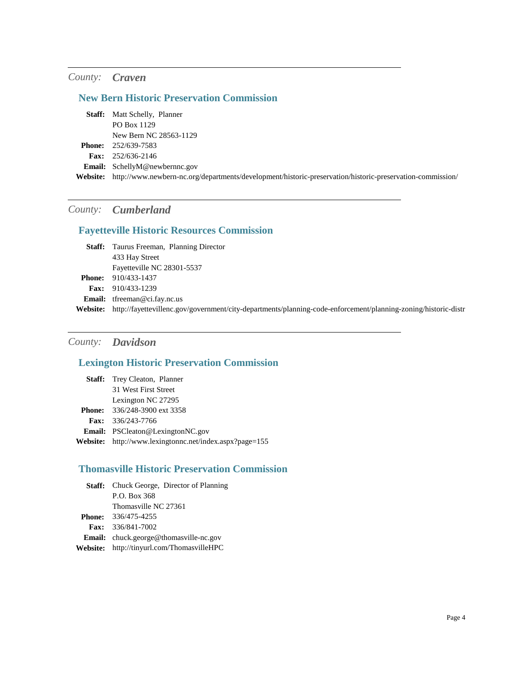#### *County: Craven*

#### **New Bern Historic Preservation Commission**

Matt Schelly, Planner **Staff:** PO Box 1129 New Bern NC 28563-1129 252/639-7583 **Phone:** 252/636-2146 **Fax:** Email: SchellyM@newbernnc.gov **Website:** http://www.newbern-nc.org/departments/development/historic-preservation/historic-preservation-commission/

### *County: Cumberland*

### **Fayetteville Historic Resources Commission**

| <b>Staff:</b> Taurus Freeman, Planning Director                                                                |
|----------------------------------------------------------------------------------------------------------------|
| 433 Hay Street                                                                                                 |
| Fayetteville NC 28301-5537                                                                                     |
| 910/433-1437                                                                                                   |
| <b>Fax:</b> 910/433-1239                                                                                       |
| <b>Email:</b> $t$ freeman@ci.fay.nc.us                                                                         |
| http://fayettevillenc.gov/government/city-departments/planning-code-enforcement/planning-zoning/historic-distr |
|                                                                                                                |

# *County: Davidson*

#### **Lexington Historic Preservation Commission**

| <b>Staff:</b> Trey Cleaton, Planner                     |
|---------------------------------------------------------|
| 31 West First Street                                    |
| Lexington NC 27295                                      |
| <b>Phone:</b> $336/248-3900$ ext $3358$                 |
| <b>Fax:</b> $336/243-7766$                              |
| <b>Email:</b> PSCleaton@LexingtonNC.gov                 |
| Website: http://www.lexingtonnc.net/index.aspx?page=155 |

#### **Thomasville Historic Preservation Commission**

| <b>Staff:</b> Chuck George, Director of Planning |
|--------------------------------------------------|
| P.O. Box 368                                     |
| Thomasville NC 27361                             |
| <b>Phone:</b> 336/475-4255                       |
| <b>Fax:</b> $336/841 - 7002$                     |
| <b>Email:</b> chuck.george@thomasville-nc.gov    |
| Website: http://tinyurl.com/ThomasvilleHPC       |
|                                                  |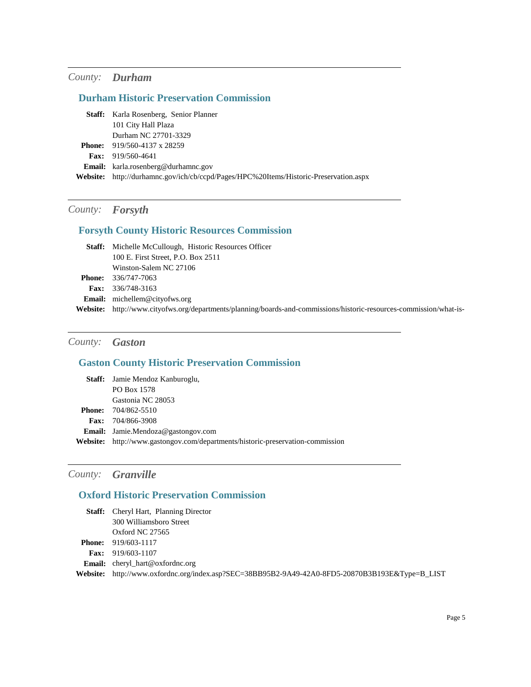### *County: Durham*

# **Durham Historic Preservation Commission**

| 101 City Hall Plaza<br>Durham NC 27701-3329<br><b>Phone:</b> $919/560-4137 \times 28259$<br><b>Fax:</b> $919/560-4641$<br><b>Email:</b> karla.rosenberg@durhamnc.gov<br>Website: http://durhamnc.gov/ich/cb/ccpd/Pages/HPC%20Items/Historic-Preservation.aspx | <b>Staff:</b> Karla Rosenberg, Senior Planner |
|---------------------------------------------------------------------------------------------------------------------------------------------------------------------------------------------------------------------------------------------------------------|-----------------------------------------------|
|                                                                                                                                                                                                                                                               |                                               |
|                                                                                                                                                                                                                                                               |                                               |
|                                                                                                                                                                                                                                                               |                                               |
|                                                                                                                                                                                                                                                               |                                               |
|                                                                                                                                                                                                                                                               |                                               |
|                                                                                                                                                                                                                                                               |                                               |

# *County: Forsyth*

### **Forsyth County Historic Resources Commission**

| <b>Staff:</b> Michelle McCullough, Historic Resources Officer                                                       |
|---------------------------------------------------------------------------------------------------------------------|
| 100 E. First Street, P.O. Box 2511                                                                                  |
| Winston-Salem NC 27106                                                                                              |
| <b>Phone:</b> 336/747-7063                                                                                          |
| <b>Fax:</b> $336/748-3163$                                                                                          |
| <b>Email:</b> michellem@cityofws.org                                                                                |
| Website: http://www.cityofws.org/departments/planning/boards-and-commissions/historic-resources-commission/what-is- |

# *County: Gaston*

# **Gaston County Historic Preservation Commission**

|                 | <b>Staff:</b> Jamie Mendoz Kanburoglu,                                |
|-----------------|-----------------------------------------------------------------------|
|                 | PO Box 1578                                                           |
|                 | Gastonia NC 28053                                                     |
|                 | <b>Phone:</b> 704/862-5510                                            |
|                 | <b>Fax:</b> $704/866-3908$                                            |
|                 | <b>Email:</b> Jamie.Mendoza@gastongov.com                             |
| <b>Website:</b> | http://www.gastongov.com/departments/historic-preservation-commission |

# *County: Granville*

# **Oxford Historic Preservation Commission**

| Staff:          | Cheryl Hart, Planning Director                                                         |
|-----------------|----------------------------------------------------------------------------------------|
|                 | 300 Williamsboro Street                                                                |
|                 | Oxford NC $27565$                                                                      |
| <b>Phone:</b>   | 919/603-1117                                                                           |
| <b>Fax:</b>     | 919/603-1107                                                                           |
|                 | <b>Email:</b> cheryl_hart@oxfordnc.org                                                 |
| <b>Website:</b> | http://www.oxfordnc.org/index.asp?SEC=38BB95B2-9A49-42A0-8FD5-20870B3B193E&Type=B_LIST |
|                 |                                                                                        |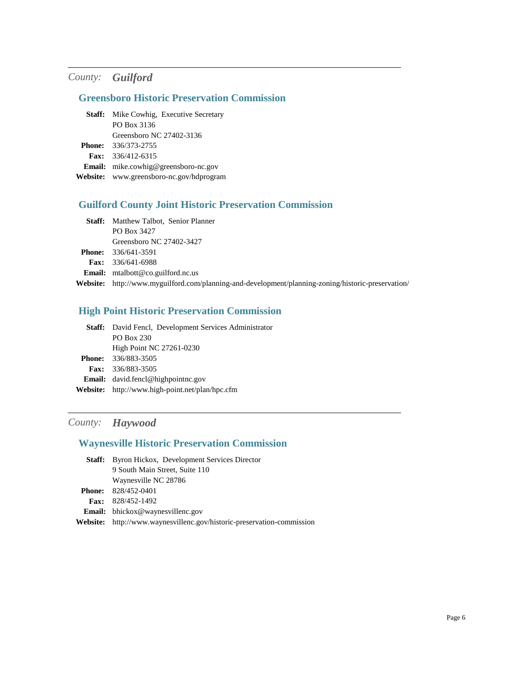### *County: Guilford*

#### **Greensboro Historic Preservation Commission**

**Staff:** Mike Cowhig, Executive Secretary PO Box 3136 Greensboro NC 27402-3136 336/373-2755 **Phone:** 336/412-6315 **Fax: Email:** mike.cowhig@greensboro-nc.gov **Website:** www.greensboro-nc.gov/hdprogram

#### **Guilford County Joint Historic Preservation Commission**

Staff: Matthew Talbot, Senior Planner PO Box 3427 Greensboro NC 27402-3427 336/641-3591 **Phone:** 336/641-6988 **Fax: Email:** mtalbott@co.guilford.nc.us **Website:** http://www.myguilford.com/planning-and-development/planning-zoning/historic-preservation/

#### **High Point Historic Preservation Commission**

| <b>Staff:</b> David Fencl, Development Services Administrator |
|---------------------------------------------------------------|
| PO Box 230                                                    |
| High Point NC 27261-0230                                      |
| <b>Phone:</b> 336/883-3505                                    |
| <b>Fax:</b> 336/883-3505                                      |
| <b>Email:</b> david.fencl@highpointnc.gov                     |
| <b>Website:</b> http://www.high-point.net/plan/hpc.cfm        |
|                                                               |

#### *County: Haywood*

#### **Waynesville Historic Preservation Commission**

| <b>Staff:</b> Byron Hickox, Development Services Director     |
|---------------------------------------------------------------|
| 9 South Main Street, Suite 110                                |
| Waynesville NC 28786                                          |
| <b>Phone:</b> $828/452-0401$                                  |
| Fax: $828/452 - 1492$                                         |
| <b>Email:</b> bhickox@waynesvillenc.gov                       |
| http://www.waynesvillenc.gov/historic-preservation-commission |
|                                                               |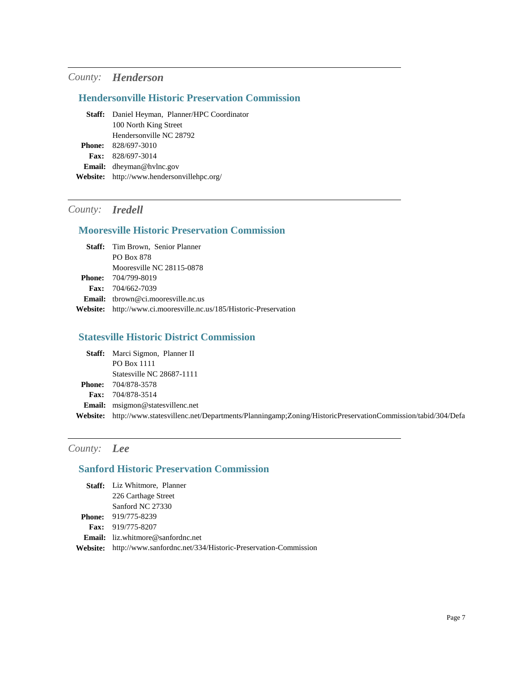### *County: Henderson*

#### **Hendersonville Historic Preservation Commission**

| <b>Staff:</b> Daniel Heyman, Planner/HPC Coordinator |
|------------------------------------------------------|
| 100 North King Street                                |
| Hendersonville NC 28792                              |
| <b>Phone:</b> $828/697-3010$                         |
| <b>Fax:</b> 828/697-3014                             |
| <b>Email:</b> dheyman@hylnc.gov                      |
| <b>Website:</b> http://www.hendersonvillehpc.org/    |
|                                                      |

# *County: Iredell*

#### **Mooresville Historic Preservation Commission**

| <b>Staff:</b> Tim Brown, Senior Planner                            |
|--------------------------------------------------------------------|
| PO Box 878                                                         |
| Mooresville NC 28115-0878                                          |
| <b>Phone:</b> 704/799-8019                                         |
| <b>Fax:</b> $704/662-7039$                                         |
| <b>Email:</b> thrown@ci.mooresville.nc.us                          |
| Website: http://www.ci.mooresville.nc.us/185/Historic-Preservation |

#### **Statesville Historic District Commission**

|               | <b>Staff:</b> Marci Sigmon, Planner II                                                                                    |
|---------------|---------------------------------------------------------------------------------------------------------------------------|
|               | PO Box 1111                                                                                                               |
|               | Statesville NC 28687-1111                                                                                                 |
| <b>Phone:</b> | 704/878-3578                                                                                                              |
| Fax:          | 704/878-3514                                                                                                              |
|               | <b>Email:</b> msigmon@statesvillenc.net                                                                                   |
|               | <b>Website:</b> http://www.statesvillenc.net/Departments/Planningamp;Zoning/HistoricPreservationCommission/tabid/304/Defa |

# *County: Lee*

### **Sanford Historic Preservation Commission**

| <b>Staff:</b> Liz Whitmore, Planner                                           |
|-------------------------------------------------------------------------------|
| 226 Carthage Street                                                           |
| Sanford NC 27330                                                              |
| <b>Phone:</b> 919/775-8239                                                    |
| <b>Fax:</b> 919/775-8207                                                      |
| <b>Email:</b> liz.whitmore@sanfordnc.net                                      |
| <b>Website:</b> http://www.sanfordnc.net/334/Historic-Preservation-Commission |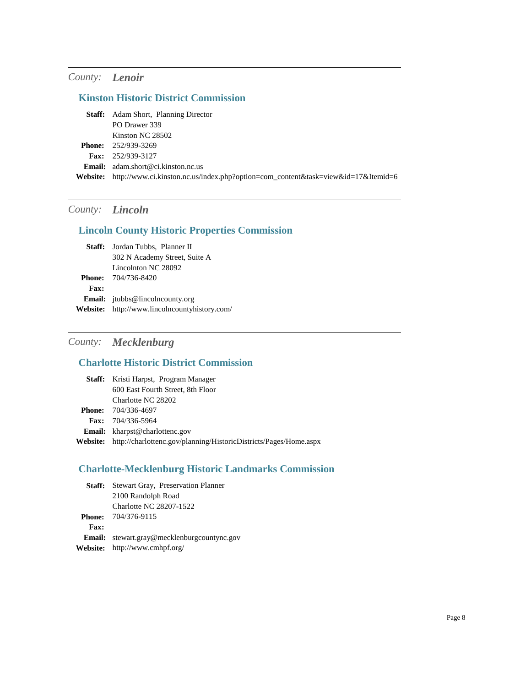# *County: Lenoir*

### **Kinston Historic District Commission**

| <b>Staff:</b> Adam Short, Planning Director                                                |
|--------------------------------------------------------------------------------------------|
| PO Drawer 339                                                                              |
| Kinston NC 28502                                                                           |
| <b>Phone:</b> 252/939-3269                                                                 |
| <b>Fax:</b> $252/939-3127$                                                                 |
| <b>Email:</b> $adam.show@ci.kinston.nc.us$                                                 |
| Website: http://www.ci.kinston.nc.us/index.php?option=com_content&task=view&id=17&Itemid=6 |
|                                                                                            |

# *County: Lincoln*

### **Lincoln County Historic Properties Commission**

|             | <b>Staff:</b> Jordan Tubbs, Planner II        |
|-------------|-----------------------------------------------|
|             | 302 N Academy Street, Suite A                 |
|             | Lincolnton NC 28092                           |
|             | <b>Phone:</b> 704/736-8420                    |
| <b>Fax:</b> |                                               |
|             | <b>Email:</b> itubbs@lincolncounty.org        |
|             | Website: http://www.lincolncountyhistory.com/ |

# *County: Mecklenburg*

# **Charlotte Historic District Commission**

|                 | <b>Staff:</b> Kristi Harpst, Program Manager                      |
|-----------------|-------------------------------------------------------------------|
|                 | 600 East Fourth Street, 8th Floor                                 |
|                 | Charlotte NC 28202                                                |
|                 | <b>Phone:</b> 704/336-4697                                        |
|                 | <b>Fax:</b> $704/336-5964$                                        |
|                 | <b>Email:</b> kharpst@charlottenc.gov                             |
| <b>Website:</b> | http://charlottenc.gov/planning/HistoricDistricts/Pages/Home.aspx |
|                 |                                                                   |

# **Charlotte-Mecklenburg Historic Landmarks Commission**

|      | <b>Staff:</b> Stewart Gray, Preservation Planner   |
|------|----------------------------------------------------|
|      | 2100 Randolph Road                                 |
|      | Charlotte NC 28207-1522                            |
|      | <b>Phone:</b> 704/376-9115                         |
| Fax: |                                                    |
|      | <b>Email:</b> stewart.gray@mecklenburgcountync.gov |
|      | <b>Website:</b> http://www.cmhpf.org/              |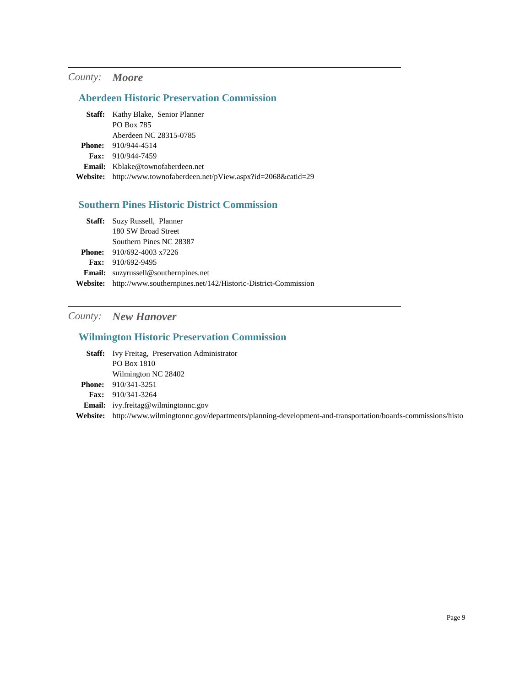### *County: Moore*

#### **Aberdeen Historic Preservation Commission**

| <b>Staff:</b> Kathy Blake, Senior Planner                                 |
|---------------------------------------------------------------------------|
| PO Box 785                                                                |
| Aberdeen NC 28315-0785                                                    |
| <b>Phone:</b> 910/944-4514                                                |
| <b>Fax:</b> $910/944-7459$                                                |
| <b>Email:</b> Kblake@townofaberdeen.net                                   |
| <b>Website:</b> http://www.townofaberdeen.net/pView.aspx?id=2068&catid=29 |

### **Southern Pines Historic District Commission**

| <b>Staff:</b> Suzy Russell, Planner                                    |
|------------------------------------------------------------------------|
| 180 SW Broad Street                                                    |
| Southern Pines NC 28387                                                |
| <b>Phone:</b> $910/692-4003 \times 7226$                               |
| <b>Fax:</b> $910/692 - 9495$                                           |
| <b>Email:</b> suzyrussell@southernpines.net                            |
| Website: http://www.southernpines.net/142/Historic-District-Commission |
|                                                                        |

# *County: New Hanover*

### **Wilmington Historic Preservation Commission**

| <b>Staff:</b> Ivy Freitag, Preservation Administrator |
|-------------------------------------------------------|
| PO Box 1810                                           |
| Wilmington NC 28402                                   |
| <b>Phone:</b> $910/341-3251$                          |
| <b>Fax:</b> 910/341-3264                              |
| <b>Email:</b> ivy.freitag@wilmingtonnc.gov            |
|                                                       |

**Website:** http://www.wilmingtonnc.gov/departments/planning-development-and-transportation/boards-commissions/histo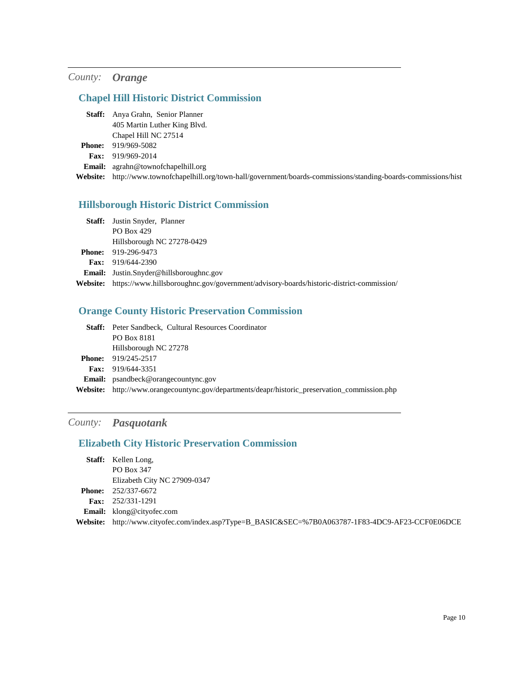# *County: Orange*

# **Chapel Hill Historic District Commission**

| <b>Staff:</b> Anya Grahn, Senior Planner  |
|-------------------------------------------|
| 405 Martin Luther King Blvd.              |
| Chapel Hill NC 27514                      |
| <b>Phone:</b> 919/969-5082                |
| Fax: 919/969-2014                         |
| <b>Email:</b> agrahn@townofchapelhill.org |
| Website: http://www.townofchanelhill.or   |

**Website:** http://www.townofchapelhill.org/town-hall/government/boards-commissions/standing-boards-commissions/hist

# **Hillsborough Historic District Commission**

|          | <b>Staff:</b> Justin Snyder, Planner                                                    |
|----------|-----------------------------------------------------------------------------------------|
|          | PO Box 429                                                                              |
|          | Hillsborough NC 27278-0429                                                              |
|          | <b>Phone:</b> 919-296-9473                                                              |
|          | <b>Fax:</b> $919/644-2390$                                                              |
|          | <b>Email:</b> Justin.Snyder@hillsboroughnc.gov                                          |
| Website: | https://www.hillsboroughnc.gov/government/advisory-boards/historic-district-commission/ |
|          |                                                                                         |

### **Orange County Historic Preservation Commission**

|                 | <b>Staff:</b> Peter Sandbeck, Cultural Resources Coordinator                         |
|-----------------|--------------------------------------------------------------------------------------|
|                 | PO Box 8181                                                                          |
|                 | Hillsborough NC 27278                                                                |
|                 | <b>Phone:</b> $919/245-2517$                                                         |
|                 | <b>Fax:</b> 919/644-3351                                                             |
|                 | <b>Email:</b> psandbeck@orangecountync.gov                                           |
| <b>Website:</b> | http://www.orangecountync.gov/departments/deapr/historic_preservation_commission.php |

### *County: Pasquotank*

### **Elizabeth City Historic Preservation Commission**

| <b>Staff:</b> Kellen Long,                                                                        |
|---------------------------------------------------------------------------------------------------|
| PO Box 347                                                                                        |
| Elizabeth City NC 27909-0347                                                                      |
| <b>Phone:</b> $252/337-6672$                                                                      |
| <b>Fax:</b> $252/331-1291$                                                                        |
| <b>Email:</b> klong@cityofec.com                                                                  |
| Website: http://www.cityofec.com/index.asp?Type=B_BASIC&SEC=%7B0A063787-1F83-4DC9-AF23-CCF0E06DCE |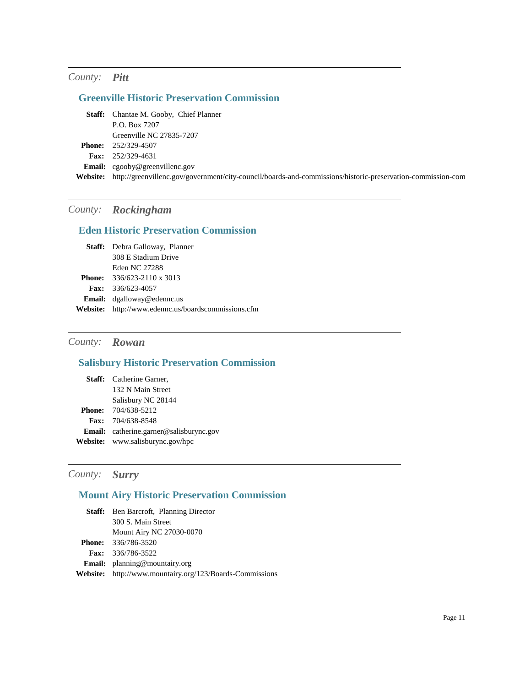### *County: Pitt*

# **Greenville Historic Preservation Commission**

| <b>Staff:</b> Chantae M. Gooby, Chief Planner                                                                        |
|----------------------------------------------------------------------------------------------------------------------|
| P.O. Box 7207                                                                                                        |
| Greenville NC 27835-7207                                                                                             |
| <b>Phone:</b> 252/329-4507                                                                                           |
| <b>Fax:</b> $252/329-4631$                                                                                           |
| <b>Email:</b> $c \text{goody@greenvillenc.gov}$                                                                      |
| Website: http://greenvillenc.gov/government/city-council/boards-and-commissions/historic-preservation-commission-com |
|                                                                                                                      |

# *County: Rockingham*

# **Eden Historic Preservation Commission**

| <b>Staff:</b> Debra Galloway, Planner               |
|-----------------------------------------------------|
| 308 E Stadium Drive                                 |
| Eden NC 27288                                       |
| <b>Phone:</b> $336/623-2110 \times 3013$            |
| <b>Fax:</b> $336/623-4057$                          |
| <b>Email:</b> dgalloway@edennc.us                   |
| Website: http://www.edennc.us/boardscommissions.cfm |

# *County: Rowan*

# **Salisbury Historic Preservation Commission**

| <b>Staff:</b> Catherine Garner,                |
|------------------------------------------------|
| 132 N Main Street                              |
| Salisbury NC 28144                             |
| <b>Phone:</b> 704/638-5212                     |
| <b>Fax:</b> 704/638-8548                       |
| <b>Email:</b> catherine.garner@salisburync.gov |
| <b>Website:</b> www.salisburync.gov/hpc        |

# *County: Surry*

### **Mount Airy Historic Preservation Commission**

| <b>Staff:</b> Ben Barcroft, Planning Director                   |
|-----------------------------------------------------------------|
| 300 S. Main Street                                              |
| <b>Mount Airy NC 27030-0070</b>                                 |
| <b>Phone:</b> 336/786-3520                                      |
| <b>Fax:</b> 336/786-3522                                        |
| <b>Email:</b> planning@mountairy.org                            |
| <b>Website:</b> http://www.mountairy.org/123/Boards-Commissions |
|                                                                 |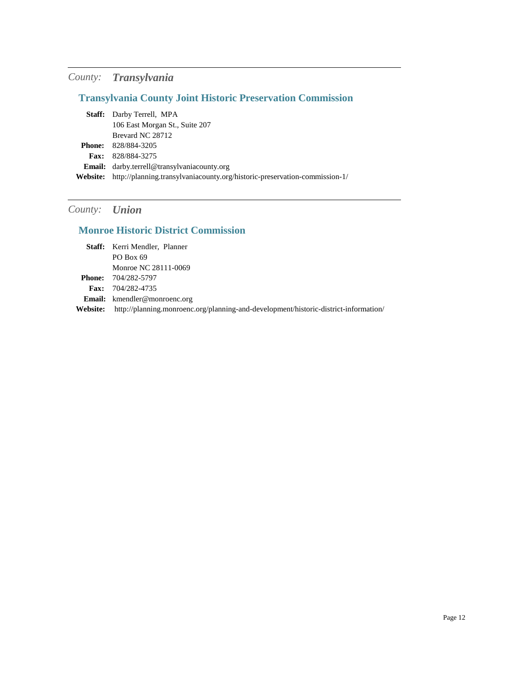# *County: Transylvania*

# **Transylvania County Joint Historic Preservation Commission**

|                 | <b>Staff:</b> Darby Terrell, MPA                                           |
|-----------------|----------------------------------------------------------------------------|
|                 | 106 East Morgan St., Suite 207                                             |
|                 | Brevard NC 28712                                                           |
| Phone:          | 828/884-3205                                                               |
|                 | <b>Fax:</b> 828/884-3275                                                   |
|                 | <b>Email:</b> darby.terrell@transylvaniacounty.org                         |
| <b>Website:</b> | http://planning.transylvaniacounty.org/historic-preservation-commission-1/ |

# *County: Union*

# **Monroe Historic District Commission**

|          | Staff: Kerri Mendler, Planner                                                        |
|----------|--------------------------------------------------------------------------------------|
|          | PO Box 69                                                                            |
|          | Monroe NC 28111-0069                                                                 |
|          | <b>Phone:</b> 704/282-5797                                                           |
|          | Fax: $704/282 - 4735$                                                                |
|          | <b>Email:</b> kmendler@monroenc.org                                                  |
| Website: | http://planning.monroenc.org/planning-and-development/historic-district-information/ |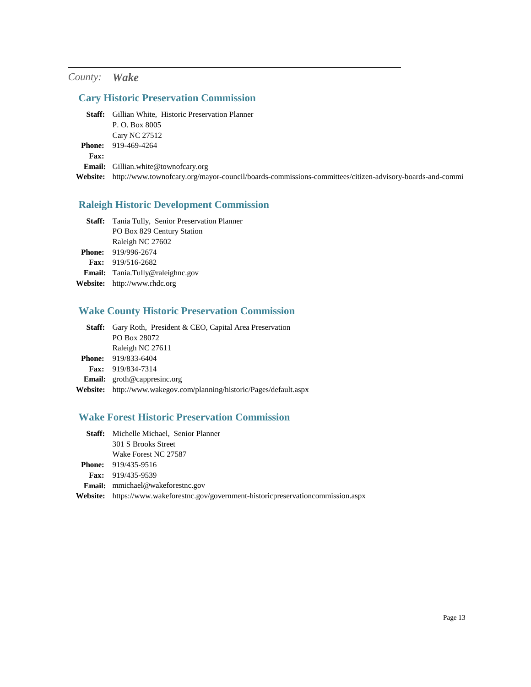### *County: Wake*

# **Cary Historic Preservation Commission**

|               | <b>Staff:</b> Gillian White, Historic Preservation Planner                                                       |
|---------------|------------------------------------------------------------------------------------------------------------------|
|               | P. O. Box 8005                                                                                                   |
|               | <b>Cary NC 27512</b>                                                                                             |
| <b>Phone:</b> | 919-469-4264                                                                                                     |
| <b>Fax:</b>   |                                                                                                                  |
|               | <b>Email:</b> Gillian.white@townofcary.org                                                                       |
|               | Website: http://www.townofcary.org/mayor-council/boards-commissions-committees/citizen-advisory-boards-and-commi |
|               |                                                                                                                  |

### **Raleigh Historic Development Commission**

| Staff: Tania Tully, Senior Preservation Planner |
|-------------------------------------------------|
| PO Box 829 Century Station                      |
| Raleigh NC 27602                                |
| <b>Phone:</b> 919/996-2674                      |
| <b>Fax:</b> $919/516-2682$                      |
| <b>Email:</b> Tania.Tully@raleighnc.gov         |
| <b>Website:</b> http://www.rhdc.org             |

# **Wake County Historic Preservation Commission**

| <b>Staff:</b> Gary Roth, President & CEO, Capital Area Preservation         |
|-----------------------------------------------------------------------------|
| PO Box 28072                                                                |
| Raleigh NC 27611                                                            |
| <b>Phone:</b> 919/833-6404                                                  |
| Fax: 919/834-7314                                                           |
| <b>Email:</b> $\text{groth@cap}$ resinc.org                                 |
| <b>Website:</b> http://www.wakegov.com/planning/historic/Pages/default.aspx |

### **Wake Forest Historic Preservation Commission**

| <b>Staff:</b> Michelle Michael, Senior Planner                                                |
|-----------------------------------------------------------------------------------------------|
| 301 S Brooks Street                                                                           |
| Wake Forest NC 27587                                                                          |
| <b>Phone:</b> 919/435-9516                                                                    |
| <b>Fax:</b> 919/435-9539                                                                      |
| <b>Email:</b> mmichael@wakeforestnc.gov                                                       |
| <b>Website:</b> https://www.wakeforestnc.gov/government-historic preservation commission.aspx |
|                                                                                               |